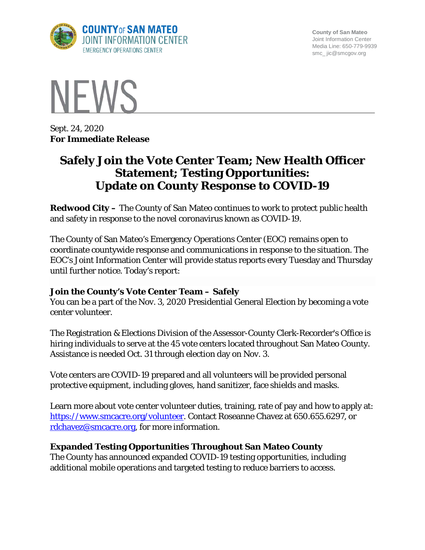

**County of San Mateo** Joint Information Center Media Line: 650-779-9939 smc\_ jic@smcgov.org



Sept. 24, 2020 **For Immediate Release**

# **Safely Join the Vote Center Team; New Health Officer Statement; Testing Opportunities: Update on County Response to COVID-19**

**Redwood City –** The County of San Mateo continues to work to protect public health and safety in response to the novel coronavirus known as COVID-19.

The County of San Mateo's Emergency Operations Center (EOC) remains open to coordinate countywide response and communications in response to the situation. The EOC's Joint Information Center will provide status reports every Tuesday and Thursday until further notice. Today's report:

## **Join the County's Vote Center Team – Safely**

You can be a part of the Nov. 3, 2020 Presidential General Election by becoming a vote center volunteer.

The Registration & Elections Division of the Assessor-County Clerk-Recorder's Office is hiring individuals to serve at the 45 vote centers located throughout San Mateo County. Assistance is needed Oct. 31 through election day on Nov. 3.

Vote centers are COVID-19 prepared and all volunteers will be provided personal protective equipment, including gloves, hand sanitizer, face shields and masks.

Learn more about vote center volunteer duties, training, rate of pay and how to apply at: [https://www.smcacre.org/volunteer.](https://www.smcacre.org/volunteer) Contact Roseanne Chavez at 650.655.6297, or [rdchavez@smcacre.org,](mailto:rdchavez@smcacre.org) for more information.

# **Expanded Testing Opportunities Throughout San Mateo County**

The County has announced expanded COVID-19 testing opportunities, including additional mobile operations and targeted testing to reduce barriers to access.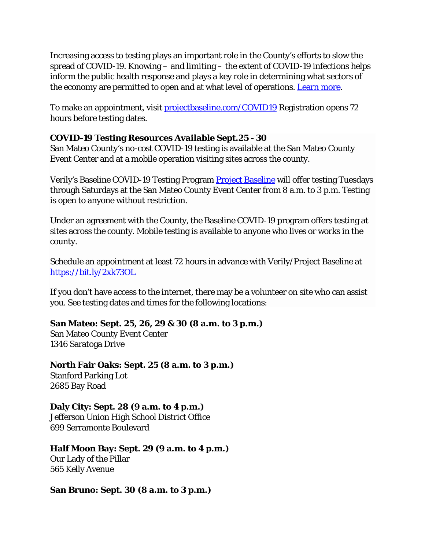Increasing access to testing plays an important role in the County's efforts to slow the spread of COVID-19. Knowing – and limiting – the extent of COVID-19 infections helps inform the public health response and plays a key role in determining what sectors of the economy are permitted to open and at what level of operations. [Learn more.](https://www.smcgov.org/press-release/covid-19-county-offers-expanded-testing-opportunities-mobile-targeted-testing-coming)

To make an appointment, visit [projectbaseline.com/COVID19](http://projectbaseline.com/COVID19) Registration opens 72 hours before testing dates.

## **COVID-19 Testing Resources Available Sept.25 - 30**

San Mateo County's no-cost COVID-19 testing is available at the San Mateo County Event Center and at a mobile operation visiting sites across the county.

Verily's Baseline COVID-19 Testing Program [Project Baseline](https://bit.ly/2xk73OL) will offer testing Tuesdays through Saturdays at the San Mateo County Event Center from 8 a.m. to 3 p.m. Testing is open to anyone without restriction.

Under an agreement with the County, the Baseline COVID-19 program offers testing at sites across the county. Mobile testing is available to anyone who lives or works in the county.

Schedule an appointment at least 72 hours in advance with Verily/Project Baseline at <https://bit.ly/2xk73OL>

If you don't have access to the internet, there may be a volunteer on site who can assist you. See testing dates and times for the following locations:

#### **San Mateo: Sept. 25, 26, 29 & 30 (8 a.m. to 3 p.m.)**

San Mateo County Event Center 1346 Saratoga Drive

**North Fair Oaks: Sept. 25 (8 a.m. to 3 p.m.)** Stanford Parking Lot 2685 Bay Road

**Daly City: Sept. 28 (9 a.m. to 4 p.m.)** Jefferson Union High School District Office 699 Serramonte Boulevard

**Half Moon Bay: Sept. 29 (9 a.m. to 4 p.m.)** Our Lady of the Pillar 565 Kelly Avenue

**San Bruno: Sept. 30 (8 a.m. to 3 p.m.)**